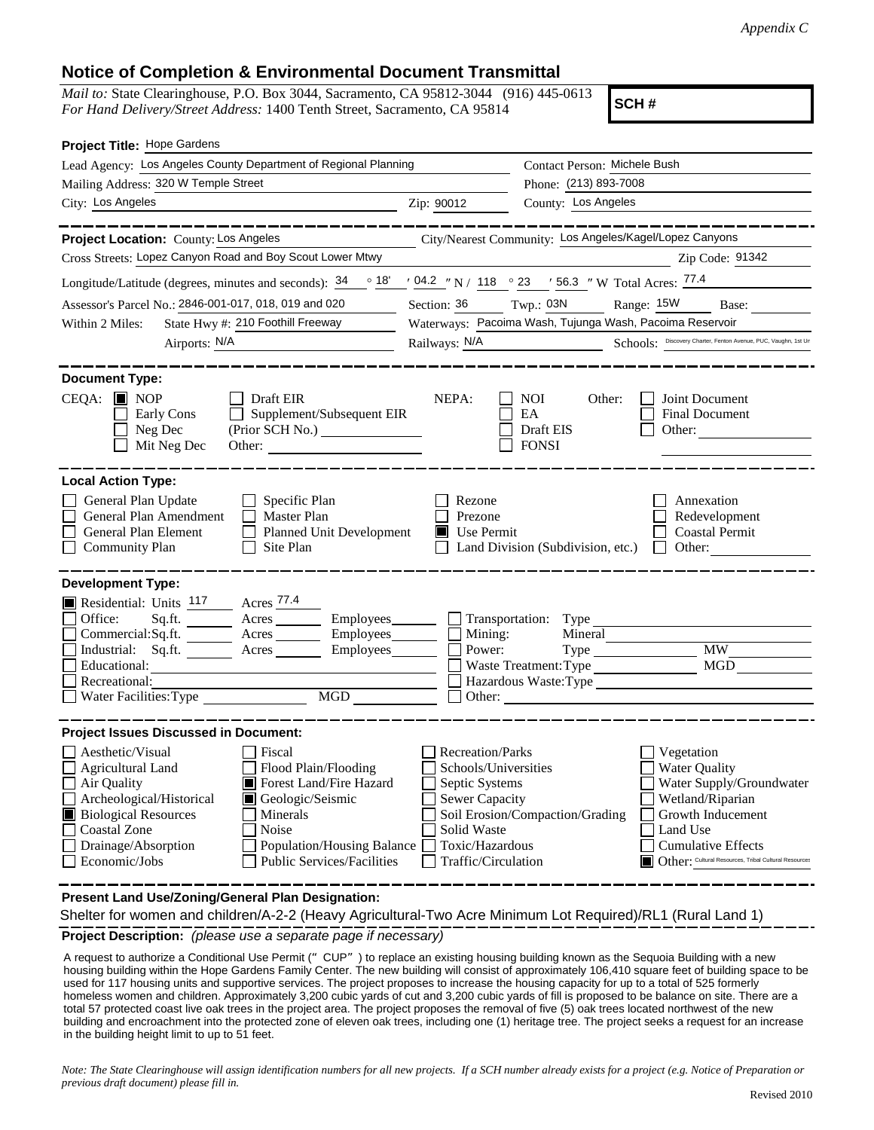## **Notice of Completion & Environmental Document Transmittal**

*Mail to:* State Clearinghouse, P.O. Box 3044, Sacramento, CA 95812-3044 (916) 445-0613 *For Hand Delivery/Street Address:* 1400 Tenth Street, Sacramento, CA 95814

**SCH #**

| Project Title: Hope Gardens                                                                                                                                                                                                                                                                                                                             |                                                                                                                                       |                                                          |                                                                                                                                                                                                          |
|---------------------------------------------------------------------------------------------------------------------------------------------------------------------------------------------------------------------------------------------------------------------------------------------------------------------------------------------------------|---------------------------------------------------------------------------------------------------------------------------------------|----------------------------------------------------------|----------------------------------------------------------------------------------------------------------------------------------------------------------------------------------------------------------|
| Lead Agency: Los Angeles County Department of Regional Planning                                                                                                                                                                                                                                                                                         |                                                                                                                                       | Contact Person: Michele Bush                             |                                                                                                                                                                                                          |
| Mailing Address: 320 W Temple Street                                                                                                                                                                                                                                                                                                                    |                                                                                                                                       | Phone: (213) 893-7008                                    |                                                                                                                                                                                                          |
| City: Los Angeles                                                                                                                                                                                                                                                                                                                                       | Zip: 90012                                                                                                                            | County: Los Angeles                                      |                                                                                                                                                                                                          |
|                                                                                                                                                                                                                                                                                                                                                         |                                                                                                                                       |                                                          |                                                                                                                                                                                                          |
| Project Location: County: Los Angeles                                                                                                                                                                                                                                                                                                                   |                                                                                                                                       | City/Nearest Community: Los Angeles/Kagel/Lopez Canyons  |                                                                                                                                                                                                          |
| Cross Streets: Lopez Canyon Road and Boy Scout Lower Mtwy                                                                                                                                                                                                                                                                                               |                                                                                                                                       |                                                          | Zip Code: 91342                                                                                                                                                                                          |
| Longitude/Latitude (degrees, minutes and seconds): $34 \cdot 94.2 \cdot 18'$ / $148 \cdot 23$ / 56.3 "W Total Acres: $77.4$                                                                                                                                                                                                                             |                                                                                                                                       |                                                          |                                                                                                                                                                                                          |
| Assessor's Parcel No.: 2846-001-017, 018, 019 and 020                                                                                                                                                                                                                                                                                                   | Section: 36                                                                                                                           | $Twp.:$ 03N                                              | Range: 15W Base:                                                                                                                                                                                         |
| State Hwy #: 210 Foothill Freeway<br>Within 2 Miles:                                                                                                                                                                                                                                                                                                    |                                                                                                                                       | Waterways: Pacoima Wash, Tujunga Wash, Pacoima Reservoir |                                                                                                                                                                                                          |
| Airports: N/A<br><u> 1989 - John Stein, mars and de Brande</u>                                                                                                                                                                                                                                                                                          | Railways: N/A                                                                                                                         |                                                          | Schools: Discovery Charter, Fenton Avenue, PUC, Vaughn, 1st Un                                                                                                                                           |
| <b>Document Type:</b><br>$CEQA:$ MOP<br>$\Box$ Draft EIR<br>$\Box$ Supplement/Subsequent EIR<br>Early Cons<br>Neg Dec<br>(Prior SCH No.)<br>Mit Neg Dec<br>Other:                                                                                                                                                                                       | NEPA:                                                                                                                                 | <b>NOI</b><br>Other:<br>EA<br>Draft EIS<br><b>FONSI</b>  | Joint Document<br>Final Document<br>Other:                                                                                                                                                               |
| <b>Local Action Type:</b><br>General Plan Update<br>Specific Plan<br>General Plan Amendment<br>Master Plan<br>General Plan Element<br>Planned Unit Development<br><b>Community Plan</b><br>Site Plan                                                                                                                                                    | Rezone<br>Prezone<br>Use Permit                                                                                                       | Land Division (Subdivision, etc.)                        | Annexation<br>Redevelopment<br><b>Coastal Permit</b><br>Other:<br>$\mathbf{L}$                                                                                                                           |
| <b>Development Type:</b><br>Residential: Units 117 Acres 77.4<br>Sq.ft. _________ Acres __________ Employees________<br>Office:<br>Commercial:Sq.ft. _________ Acres _______<br>Employees_______<br>Industrial: Sq.ft.<br>$\text{Acres}$ <sub>________</sub><br>Employees<br>Educational:<br>Recreational:<br>Water Facilities: Type                    | Mining:<br>Power:                                                                                                                     | Transportation: Type<br>Mineral<br>Waste Treatment: Type | MW<br><b>MGD</b>                                                                                                                                                                                         |
| <b>Project Issues Discussed in Document:</b>                                                                                                                                                                                                                                                                                                            |                                                                                                                                       |                                                          |                                                                                                                                                                                                          |
| Aesthetic/Visual<br>Fiscal<br>Flood Plain/Flooding<br>Agricultural Land<br>Forest Land/Fire Hazard<br>Air Quality<br>Geologic/Seismic<br>Archeological/Historical<br><b>Biological Resources</b><br>Minerals<br><b>Coastal Zone</b><br>Noise<br>Drainage/Absorption<br>Population/Housing Balance<br><b>Public Services/Facilities</b><br>Economic/Jobs | Recreation/Parks<br>Schools/Universities<br>Septic Systems<br>Sewer Capacity<br>Solid Waste<br>Toxic/Hazardous<br>Traffic/Circulation | Soil Erosion/Compaction/Grading                          | Vegetation<br><b>Water Quality</b><br>Water Supply/Groundwater<br>Wetland/Riparian<br>Growth Inducement<br>Land Use<br><b>Cumulative Effects</b><br>Other: Cultural Resources, Tribal Cultural Resources |

**Present Land Use/Zoning/General Plan Designation:**

**Project Description:** *(please use a separate page if necessary)* Shelter for women and children/A-2-2 (Heavy Agricultural-Two Acre Minimum Lot Required)/RL1 (Rural Land 1)

 A request to authorize a Conditional Use Permit ("CUP") to replace an existing housing building known as the Sequoia Building with a new housing building within the Hope Gardens Family Center. The new building will consist of approximately 106,410 square feet of building space to be used for 117 housing units and supportive services. The project proposes to increase the housing capacity for up to a total of 525 formerly homeless women and children. Approximately 3,200 cubic yards of cut and 3,200 cubic yards of fill is proposed to be balance on site. There are a total 57 protected coast live oak trees in the project area. The project proposes the removal of five (5) oak trees located northwest of the new building and encroachment into the protected zone of eleven oak trees, including one (1) heritage tree. The project seeks a request for an increase in the building height limit to up to 51 feet.

*Note: The State Clearinghouse will assign identification numbers for all new projects. If a SCH number already exists for a project (e.g. Notice of Preparation or previous draft document) please fill in.*